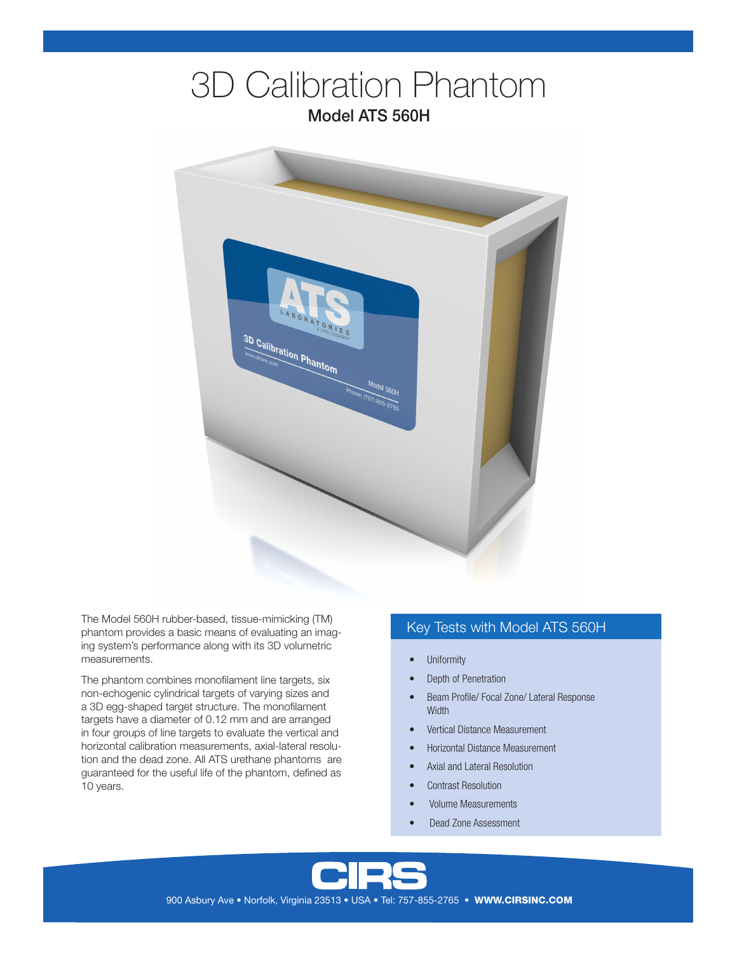# 3D Calibration Phantom Model ATS 560H



The Model 560H rubber-based, tissue-mimicking (TM) phantom provides a basic means of evaluating an imaging system's performance along with its 3D volumetric measurements.

The phantom combines monofilament line targets, six non-echogenic cylindrical targets of varying sizes and a 3D egg-shaped target structure. The monofilament targets have a diameter of 0.12 mm and are arranged in four groups of line targets to evaluate the vertical and horizontal calibration measurements, axial-lateral resolution and the dead zone. All ATS urethane phantoms are guaranteed for the useful life of the phantom, defined as 10 years.

### Key Tests with Model ATS 560H

- **Uniformity**
- Depth of Penetration
- Beam Profile/ Focal Zone/ Lateral Response **Width**
- Vertical Distance Measurement
- Horizontal Distance Measurement
- Axial and Lateral Resolution
- Contrast Resolution
- Volume Measurements
- Dead Zone Assessment